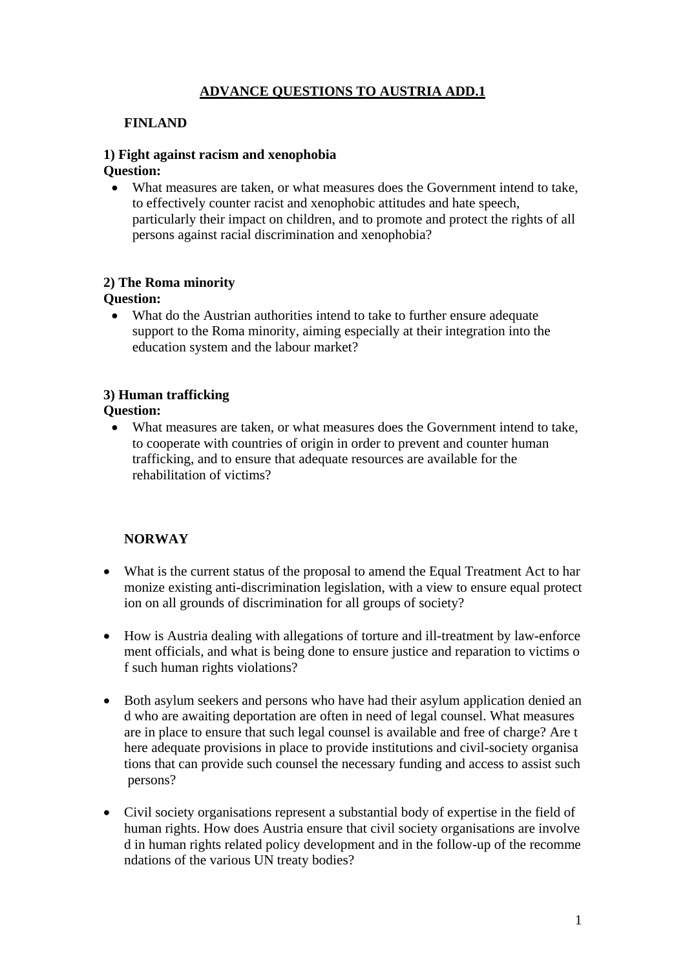# **ADVANCE QUESTIONS TO AUSTRIA ADD.1**

## **FINLAND**

#### **1) Fight against racism and xenophobia Question:**

• What measures are taken, or what measures does the Government intend to take, to effectively counter racist and xenophobic attitudes and hate speech, particularly their impact on children, and to promote and protect the rights of all persons against racial discrimination and xenophobia?

## **2) The Roma minority**

#### **Question:**

• What do the Austrian authorities intend to take to further ensure adequate support to the Roma minority, aiming especially at their integration into the education system and the labour market?

# **3) Human trafficking**

## **Question:**

• What measures are taken, or what measures does the Government intend to take, to cooperate with countries of origin in order to prevent and counter human trafficking, and to ensure that adequate resources are available for the rehabilitation of victims?

# **NORWAY**

- What is the current status of the proposal to amend the Equal Treatment Act to har monize existing anti-discrimination legislation, with a view to ensure equal protect ion on all grounds of discrimination for all groups of society?
- How is Austria dealing with allegations of torture and ill-treatment by law-enforce ment officials, and what is being done to ensure justice and reparation to victims o f such human rights violations?
- Both asylum seekers and persons who have had their asylum application denied an d who are awaiting deportation are often in need of legal counsel. What measures are in place to ensure that such legal counsel is available and free of charge? Are t here adequate provisions in place to provide institutions and civil-society organisa tions that can provide such counsel the necessary funding and access to assist such persons?
- Civil society organisations represent a substantial body of expertise in the field of human rights. How does Austria ensure that civil society organisations are involve d in human rights related policy development and in the follow-up of the recomme ndations of the various UN treaty bodies?